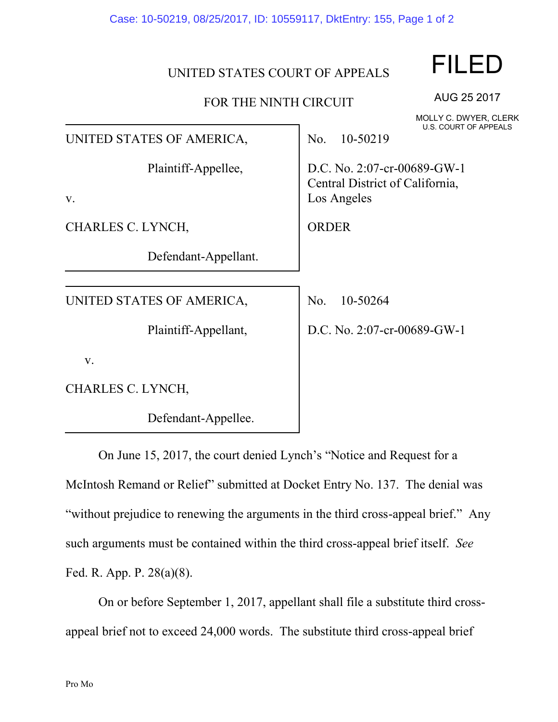Case: 10-50219, 08/25/2017, ID: 10559117, DktEntry: 155, Page 1 of 2

## UNITED STATES COURT OF APPEALS

## FOR THE NINTH CIRCUIT

FILED

MOLLY C. DWYER, CLERK U.S. COURT OF APPEALS

AUG 25 2017

| UNITED STATES OF AMERICA, | U.S. COURT OF APPEALS<br>10-50219<br>No.                                      |
|---------------------------|-------------------------------------------------------------------------------|
| Plaintiff-Appellee,<br>V. | D.C. No. 2:07-cr-00689-GW-1<br>Central District of California,<br>Los Angeles |
| CHARLES C. LYNCH,         | <b>ORDER</b>                                                                  |
| Defendant-Appellant.      |                                                                               |
| UNITED STATES OF AMERICA, | 10-50264<br>No.                                                               |
| Plaintiff-Appellant,      | D.C. No. 2:07-cr-00689-GW-1                                                   |
| V.                        |                                                                               |
| CHARLES C. LYNCH,         |                                                                               |
| Defendant-Appellee.       |                                                                               |

On June 15, 2017, the court denied Lynch's "Notice and Request for a McIntosh Remand or Relief" submitted at Docket Entry No. 137. The denial was "without prejudice to renewing the arguments in the third cross-appeal brief." Any such arguments must be contained within the third cross-appeal brief itself. *See* Fed. R. App. P. 28(a)(8).

On or before September 1, 2017, appellant shall file a substitute third crossappeal brief not to exceed 24,000 words. The substitute third cross-appeal brief